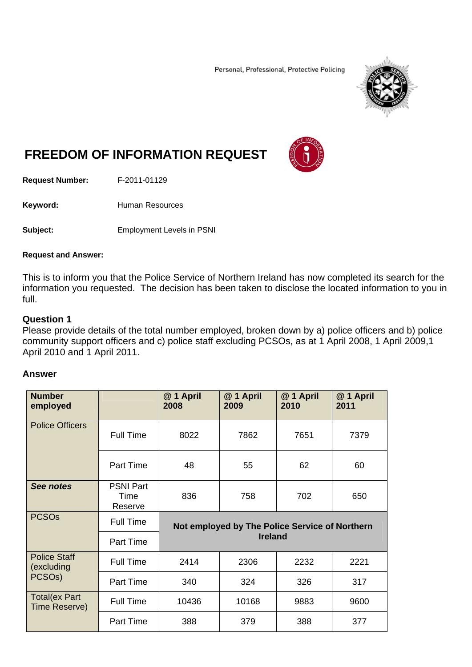Personal, Professional, Protective Policing



# **FREEDOM OF INFORMATION REQUEST**

**Request Number:** F-2011-01129

Keyword: **Human Resources** 

**Subject:** Employment Levels in PSNI

#### **Request and Answer:**

This is to inform you that the Police Service of Northern Ireland has now completed its search for the information you requested. The decision has been taken to disclose the located information to you in full.

## **Question 1**

Please provide details of the total number employed, broken down by a) police officers and b) police community support officers and c) police staff excluding PCSOs, as at 1 April 2008, 1 April 2009,1 April 2010 and 1 April 2011.

#### **Answer**

| <b>Number</b><br>employed                                |                                     | @ 1 April<br>2008                                                | @ 1 April<br>2009 | @ 1 April<br>2010 | @ 1 April<br>2011 |
|----------------------------------------------------------|-------------------------------------|------------------------------------------------------------------|-------------------|-------------------|-------------------|
| <b>Police Officers</b>                                   | <b>Full Time</b>                    | 8022                                                             | 7862              | 7651              | 7379              |
|                                                          | Part Time                           | 48                                                               | 55                | 62                | 60                |
| See notes                                                | <b>PSNI Part</b><br>Time<br>Reserve | 836                                                              | 758               | 702               | 650               |
| <b>PCSOs</b>                                             | <b>Full Time</b>                    | Not employed by The Police Service of Northern<br><b>Ireland</b> |                   |                   |                   |
|                                                          | Part Time                           |                                                                  |                   |                   |                   |
| <b>Police Staff</b><br>(excluding<br>PCSO <sub>s</sub> ) | <b>Full Time</b>                    | 2414                                                             | 2306              | 2232              | 2221              |
|                                                          | Part Time                           | 340                                                              | 324               | 326               | 317               |
| <b>Total(ex Part</b><br>Time Reserve)                    | <b>Full Time</b>                    | 10436                                                            | 10168             | 9883              | 9600              |
|                                                          | <b>Part Time</b>                    | 388                                                              | 379               | 388               | 377               |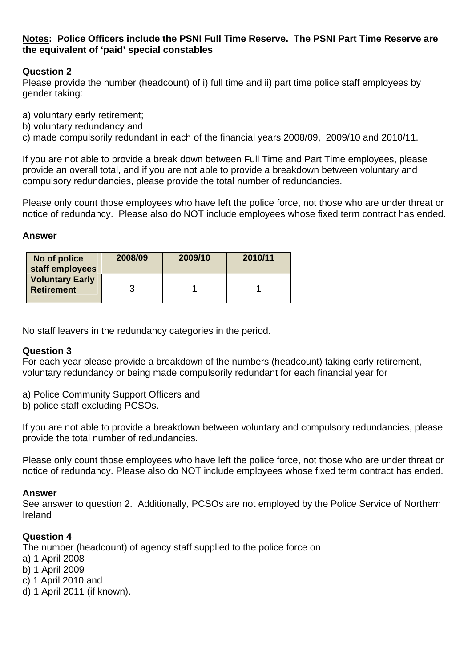## **Notes: Police Officers include the PSNI Full Time Reserve. The PSNI Part Time Reserve are the equivalent of 'paid' special constables**

## **Question 2**

Please provide the number (headcount) of i) full time and ii) part time police staff employees by gender taking:

- a) voluntary early retirement;
- b) voluntary redundancy and
- c) made compulsorily redundant in each of the financial years 2008/09, 2009/10 and 2010/11.

If you are not able to provide a break down between Full Time and Part Time employees, please provide an overall total, and if you are not able to provide a breakdown between voluntary and compulsory redundancies, please provide the total number of redundancies.

Please only count those employees who have left the police force, not those who are under threat or notice of redundancy. Please also do NOT include employees whose fixed term contract has ended.

## **Answer**

| No of police<br>staff employees             | 2008/09 | 2009/10 | 2010/11 |
|---------------------------------------------|---------|---------|---------|
| <b>Voluntary Early</b><br><b>Retirement</b> |         |         |         |

No staff leavers in the redundancy categories in the period.

## **Question 3**

For each year please provide a breakdown of the numbers (headcount) taking early retirement, voluntary redundancy or being made compulsorily redundant for each financial year for

- a) Police Community Support Officers and
- b) police staff excluding PCSOs.

If you are not able to provide a breakdown between voluntary and compulsory redundancies, please provide the total number of redundancies.

Please only count those employees who have left the police force, not those who are under threat or notice of redundancy. Please also do NOT include employees whose fixed term contract has ended.

## **Answer**

See answer to question 2. Additionally, PCSOs are not employed by the Police Service of Northern Ireland

## **Question 4**

The number (headcount) of agency staff supplied to the police force on

- a) 1 April 2008
- b) 1 April 2009
- c) 1 April 2010 and
- d) 1 April 2011 (if known).